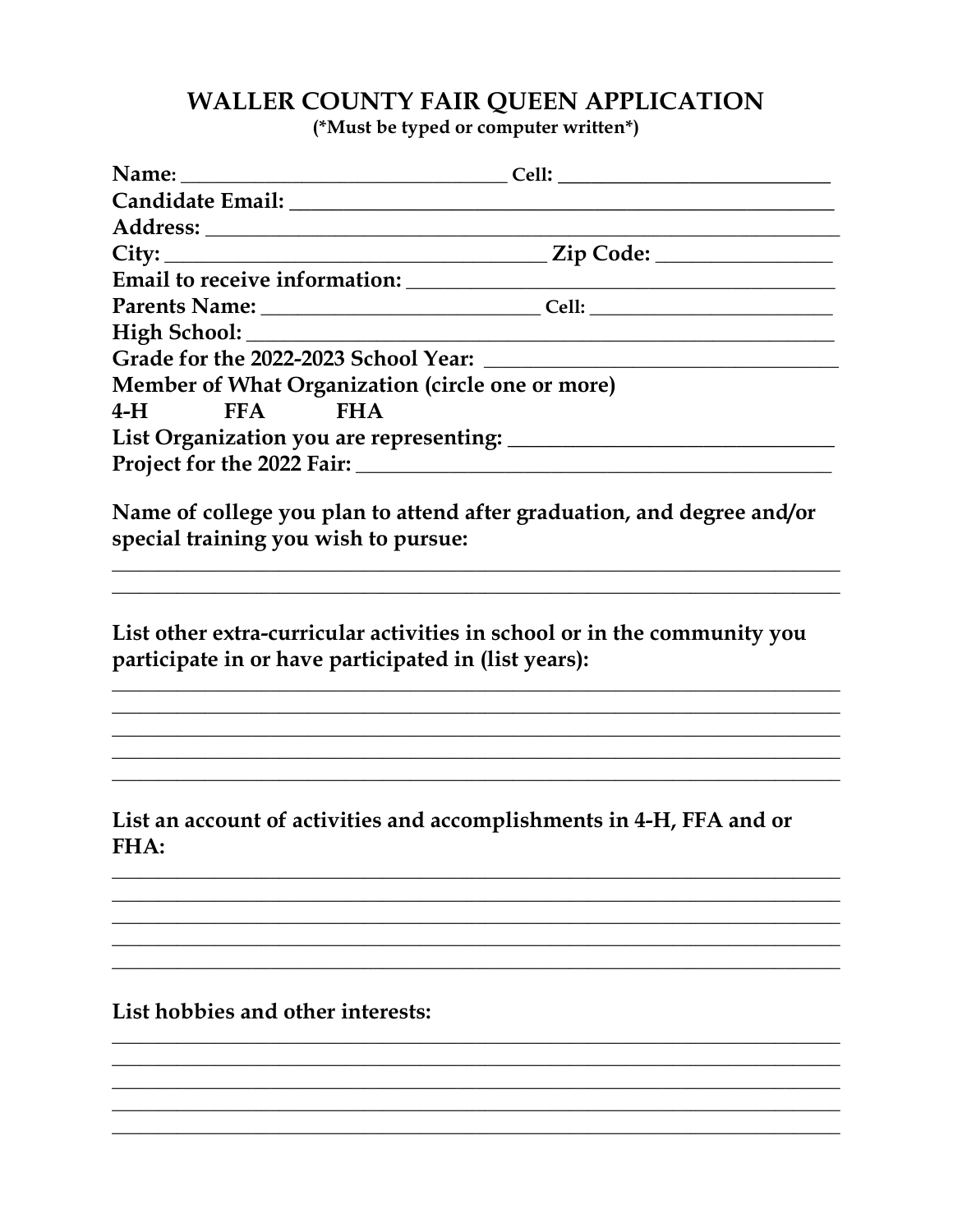## WALLER COUNTY FAIR QUEEN APPLICATION<br>(\*Must be typed or computer written\*)

|                                      | <b>Member of What Organization (circle one or more)</b>                                                                          |
|--------------------------------------|----------------------------------------------------------------------------------------------------------------------------------|
| 4-H FFA FHA                          |                                                                                                                                  |
|                                      |                                                                                                                                  |
|                                      |                                                                                                                                  |
| special training you wish to pursue: | Name of college you plan to attend after graduation, and degree and/or                                                           |
|                                      | List other extra-curricular activities in school or in the community you<br>participate in or have participated in (list years): |
|                                      |                                                                                                                                  |
|                                      |                                                                                                                                  |
| FHA:                                 | List an account of activities and accomplishments in 4-H, FFA and or                                                             |
|                                      |                                                                                                                                  |
|                                      |                                                                                                                                  |
|                                      |                                                                                                                                  |
|                                      |                                                                                                                                  |
| List hobbies and other interests:    |                                                                                                                                  |
|                                      |                                                                                                                                  |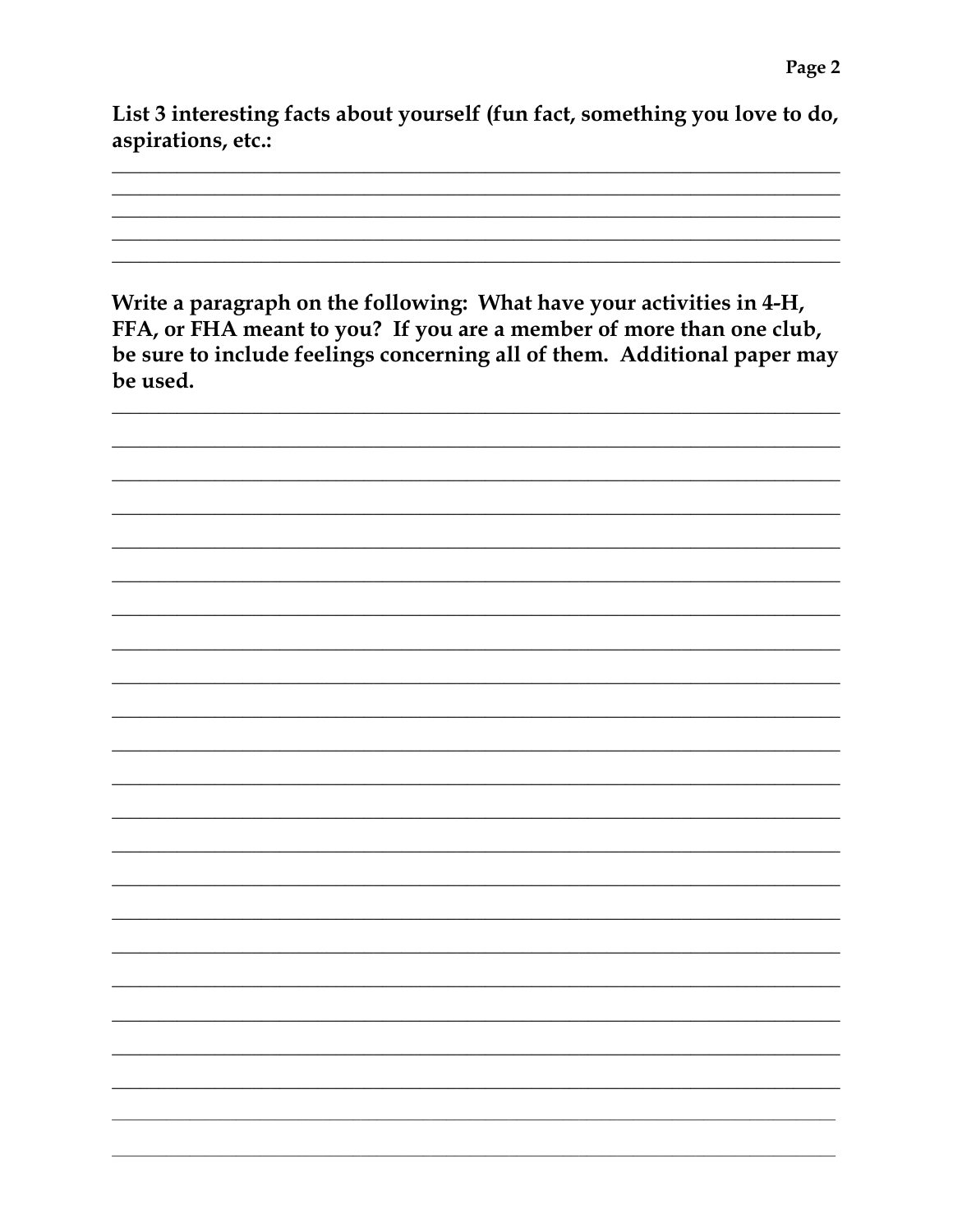List 3 interesting facts about yourself (fun fact, something you love to do, aspirations, etc.:

Write a paragraph on the following: What have your activities in 4-H, FFA, or FHA meant to you? If you are a member of more than one club, be sure to include feelings concerning all of them. Additional paper may be used.